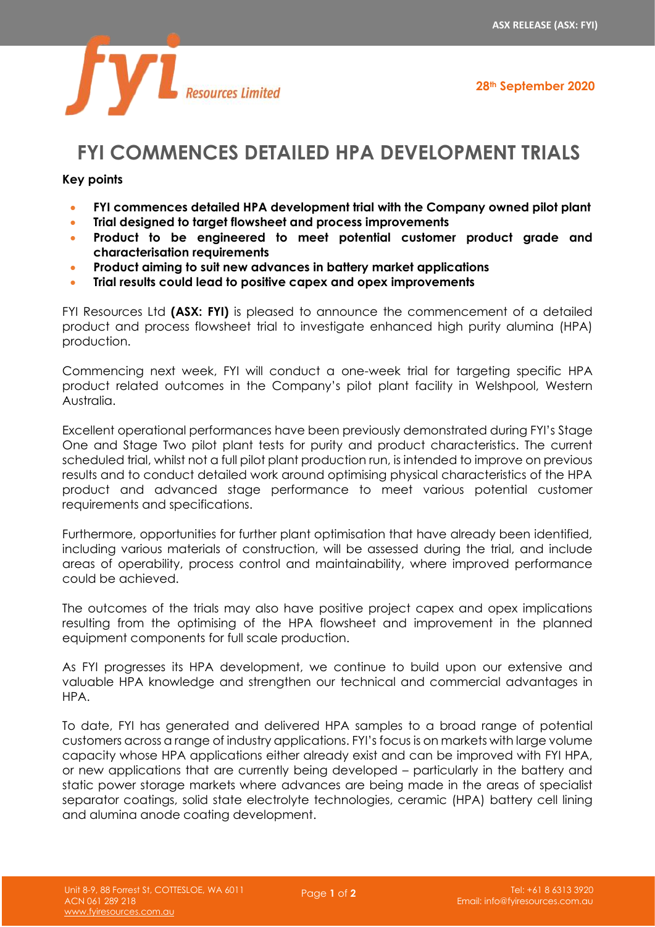



## **FYI COMMENCES DETAILED HPA DEVELOPMENT TRIALS**

## **Key points**

- **FYI commences detailed HPA development trial with the Company owned pilot plant**
- **Trial designed to target flowsheet and process improvements**
- **Product to be engineered to meet potential customer product grade and characterisation requirements**
- **Product aiming to suit new advances in battery market applications**
- **Trial results could lead to positive capex and opex improvements**

FYI Resources Ltd **(ASX: FYI)** is pleased to announce the commencement of a detailed product and process flowsheet trial to investigate enhanced high purity alumina (HPA) production.

Commencing next week, FYI will conduct a one-week trial for targeting specific HPA product related outcomes in the Company's pilot plant facility in Welshpool, Western Australia.

Excellent operational performances have been previously demonstrated during FYI's Stage One and Stage Two pilot plant tests for purity and product characteristics. The current scheduled trial, whilst not a full pilot plant production run, is intended to improve on previous results and to conduct detailed work around optimising physical characteristics of the HPA product and advanced stage performance to meet various potential customer requirements and specifications.

Furthermore, opportunities for further plant optimisation that have already been identified, including various materials of construction, will be assessed during the trial, and include areas of operability, process control and maintainability, where improved performance could be achieved.

The outcomes of the trials may also have positive project capex and opex implications resulting from the optimising of the HPA flowsheet and improvement in the planned equipment components for full scale production.

As FYI progresses its HPA development, we continue to build upon our extensive and valuable HPA knowledge and strengthen our technical and commercial advantages in HPA.

To date, FYI has generated and delivered HPA samples to a broad range of potential customers across a range of industry applications. FYI's focus is on markets with large volume capacity whose HPA applications either already exist and can be improved with FYI HPA, or new applications that are currently being developed – particularly in the battery and static power storage markets where advances are being made in the areas of specialist separator coatings, solid state electrolyte technologies, ceramic (HPA) battery cell lining and alumina anode coating development.